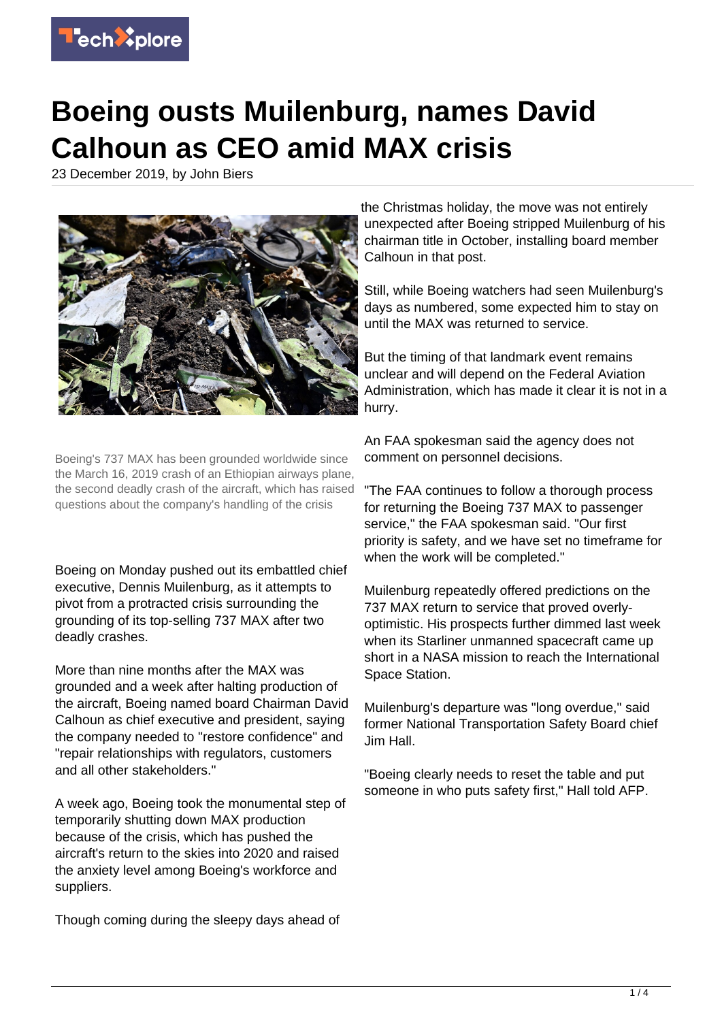

## **Boeing ousts Muilenburg, names David Calhoun as CEO amid MAX crisis**

23 December 2019, by John Biers



Boeing's 737 MAX has been grounded worldwide since the March 16, 2019 crash of an Ethiopian airways plane, the second deadly crash of the aircraft, which has raised questions about the company's handling of the crisis

Boeing on Monday pushed out its embattled chief executive, Dennis Muilenburg, as it attempts to pivot from a protracted crisis surrounding the grounding of its top-selling 737 MAX after two deadly crashes.

More than nine months after the MAX was grounded and a week after halting production of the aircraft, Boeing named board Chairman David Calhoun as chief executive and president, saying the company needed to "restore confidence" and "repair relationships with regulators, customers and all other stakeholders."

A week ago, Boeing took the monumental step of temporarily shutting down MAX production because of the crisis, which has pushed the aircraft's return to the skies into 2020 and raised the anxiety level among Boeing's workforce and suppliers.

Though coming during the sleepy days ahead of

the Christmas holiday, the move was not entirely unexpected after Boeing stripped Muilenburg of his chairman title in October, installing board member Calhoun in that post.

Still, while Boeing watchers had seen Muilenburg's days as numbered, some expected him to stay on until the MAX was returned to service.

But the timing of that landmark event remains unclear and will depend on the Federal Aviation Administration, which has made it clear it is not in a hurry.

An FAA spokesman said the agency does not comment on personnel decisions.

"The FAA continues to follow a thorough process for returning the Boeing 737 MAX to passenger service," the FAA spokesman said. "Our first priority is safety, and we have set no timeframe for when the work will be completed."

Muilenburg repeatedly offered predictions on the 737 MAX return to service that proved overlyoptimistic. His prospects further dimmed last week when its Starliner unmanned spacecraft came up short in a NASA mission to reach the International Space Station.

Muilenburg's departure was "long overdue," said former National Transportation Safety Board chief Jim Hall.

"Boeing clearly needs to reset the table and put someone in who puts safety first," Hall told AFP.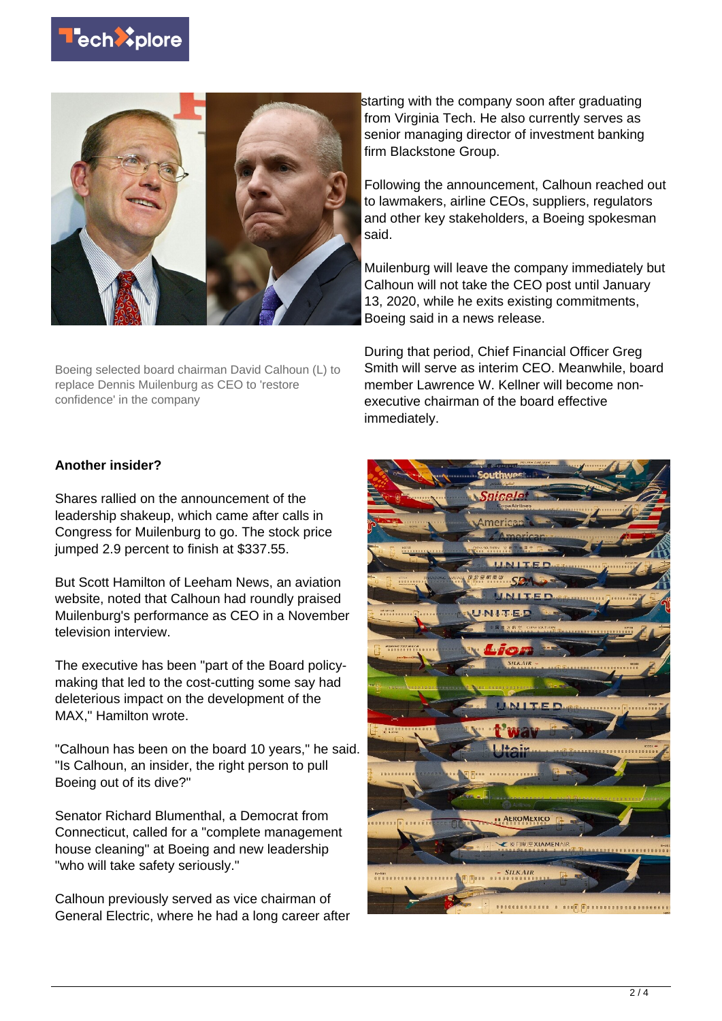



Boeing selected board chairman David Calhoun (L) to replace Dennis Muilenburg as CEO to 'restore confidence' in the company

starting with the company soon after graduating from Virginia Tech. He also currently serves as senior managing director of investment banking firm Blackstone Group.

Following the announcement, Calhoun reached out to lawmakers, airline CEOs, suppliers, regulators and other key stakeholders, a Boeing spokesman said.

Muilenburg will leave the company immediately but Calhoun will not take the CEO post until January 13, 2020, while he exits existing commitments, Boeing said in a news release.

During that period, Chief Financial Officer Greg Smith will serve as interim CEO. Meanwhile, board member Lawrence W. Kellner will become nonexecutive chairman of the board effective immediately.

## **Another insider?**

Shares rallied on the announcement of the leadership shakeup, which came after calls in Congress for Muilenburg to go. The stock price jumped 2.9 percent to finish at \$337.55.

But Scott Hamilton of Leeham News, an aviation website, noted that Calhoun had roundly praised Muilenburg's performance as CEO in a November television interview.

The executive has been "part of the Board policymaking that led to the cost-cutting some say had deleterious impact on the development of the MAX," Hamilton wrote.

"Calhoun has been on the board 10 years," he said. "Is Calhoun, an insider, the right person to pull Boeing out of its dive?"

Senator Richard Blumenthal, a Democrat from Connecticut, called for a "complete management house cleaning" at Boeing and new leadership "who will take safety seriously."

Calhoun previously served as vice chairman of General Electric, where he had a long career after

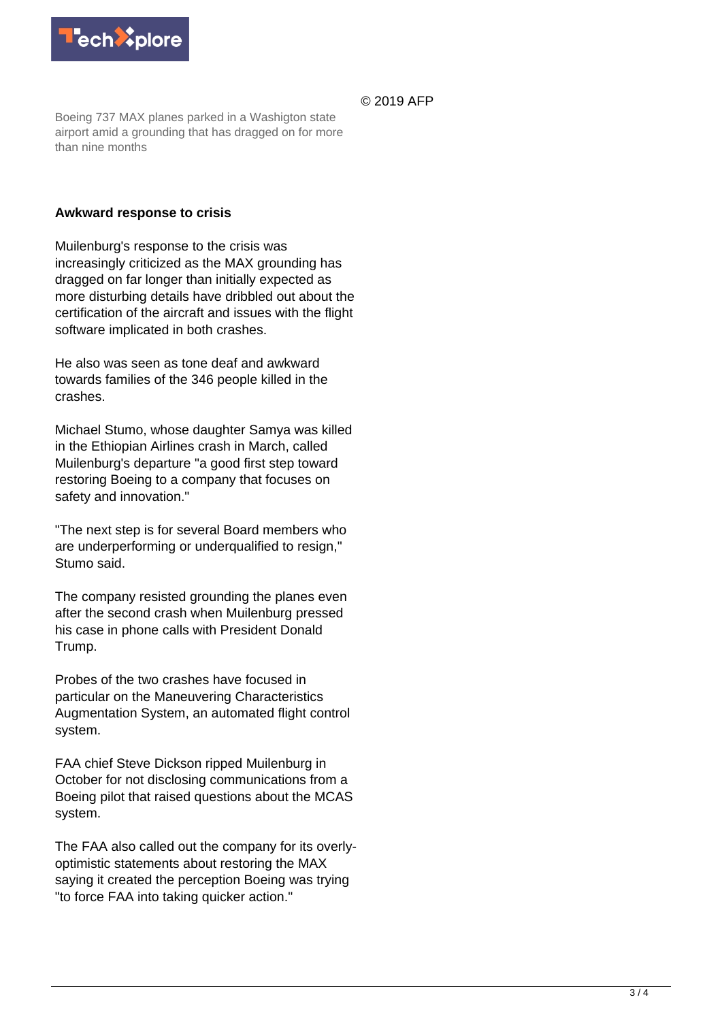

© 2019 AFP

Boeing 737 MAX planes parked in a Washigton state airport amid a grounding that has dragged on for more than nine months

## **Awkward response to crisis**

Muilenburg's response to the crisis was increasingly criticized as the MAX grounding has dragged on far longer than initially expected as more disturbing details have dribbled out about the certification of the aircraft and issues with the flight software implicated in both crashes.

He also was seen as tone deaf and awkward towards families of the 346 people killed in the crashes.

Michael Stumo, whose daughter Samya was killed in the Ethiopian Airlines crash in March, called Muilenburg's departure "a good first step toward restoring Boeing to a company that focuses on safety and innovation."

"The next step is for several Board members who are underperforming or underqualified to resign," Stumo said.

The company resisted grounding the planes even after the second crash when Muilenburg pressed his case in phone calls with President Donald Trump.

Probes of the two crashes have focused in particular on the Maneuvering Characteristics Augmentation System, an automated flight control system.

FAA chief Steve Dickson ripped Muilenburg in October for not disclosing communications from a Boeing pilot that raised questions about the MCAS system.

The FAA also called out the company for its overlyoptimistic statements about restoring the MAX saying it created the perception Boeing was trying "to force FAA into taking quicker action."